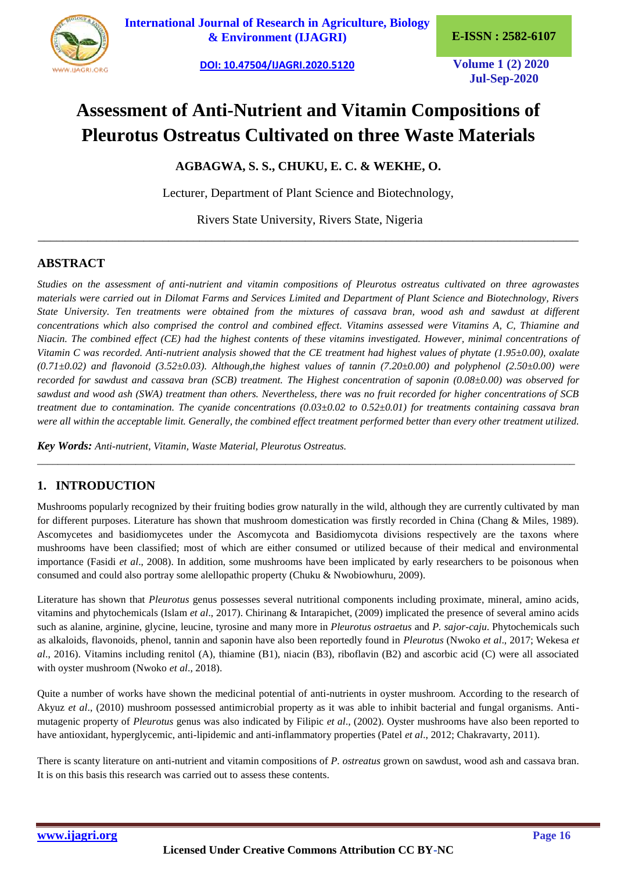

**[International Journal of Research in Agriculture, Biology](https://ijagri.org/index.php/ijagri/about)  [& Environment \(IJAGRI\)](https://ijagri.org/index.php/ijagri/about) E-ISSN : 2582-6107**

**[DOI: 10.47504/IJAGRI.2020.5120](http://doi.org/10.47504/IJAGRI.2020.5120) Volume 1 (2) 2020**

**Jul-Sep-2020**

# **Assessment of Anti-Nutrient and Vitamin Compositions of Pleurotus Ostreatus Cultivated on three Waste Materials**

**AGBAGWA, S. S., CHUKU, E. C. & WEKHE, O.**

Lecturer, Department of Plant Science and Biotechnology,

Rivers State University, Rivers State, Nigeria \_\_\_\_\_\_\_\_\_\_\_\_\_\_\_\_\_\_\_\_\_\_\_\_\_\_\_\_\_\_\_\_\_\_\_\_\_\_\_\_\_\_\_\_\_\_\_\_\_\_\_\_\_\_\_\_\_\_\_\_\_\_\_\_\_\_\_\_\_\_\_\_\_\_\_\_\_\_\_\_\_\_\_\_\_\_\_

# **ABSTRACT**

*Studies on the assessment of anti-nutrient and vitamin compositions of Pleurotus ostreatus cultivated on three agrowastes materials were carried out in Dilomat Farms and Services Limited and Department of Plant Science and Biotechnology, Rivers State University. Ten treatments were obtained from the mixtures of cassava bran, wood ash and sawdust at different concentrations which also comprised the control and combined effect. Vitamins assessed were Vitamins A, C, Thiamine and Niacin. The combined effect (CE) had the highest contents of these vitamins investigated. However, minimal concentrations of Vitamin C was recorded. Anti-nutrient analysis showed that the CE treatment had highest values of phytate (1.95±0.00), oxalate (0.71±0.02) and flavonoid (3.52±0.03). Although,the highest values of tannin (7.20±0.00) and polyphenol (2.50±0.00) were recorded for sawdust and cassava bran (SCB) treatment. The Highest concentration of saponin (0.08±0.00) was observed for sawdust and wood ash (SWA) treatment than others. Nevertheless, there was no fruit recorded for higher concentrations of SCB treatment due to contamination. The cyanide concentrations (0.03±0.02 to 0.52±0.01) for treatments containing cassava bran were all within the acceptable limit. Generally, the combined effect treatment performed better than every other treatment utilized.*

*Key Words: Anti-nutrient, Vitamin, Waste Material, Pleurotus Ostreatus.*

# **1. INTRODUCTION**

Mushrooms popularly recognized by their fruiting bodies grow naturally in the wild, although they are currently cultivated by man for different purposes. Literature has shown that mushroom domestication was firstly recorded in China (Chang & Miles, 1989). Ascomycetes and basidiomycetes under the Ascomycota and Basidiomycota divisions respectively are the taxons where mushrooms have been classified; most of which are either consumed or utilized because of their medical and environmental importance (Fasidi *et al*., 2008). In addition, some mushrooms have been implicated by early researchers to be poisonous when consumed and could also portray some alellopathic property (Chuku & Nwobiowhuru, 2009).

*\_\_\_\_\_\_\_\_\_\_\_\_\_\_\_\_\_\_\_\_\_\_\_\_\_\_\_\_\_\_\_\_\_\_\_\_\_\_\_\_\_\_\_\_\_\_\_\_\_\_\_\_\_\_\_\_\_\_\_\_\_\_\_\_\_\_\_\_\_\_\_\_\_\_\_\_\_\_\_\_\_\_\_\_\_\_\_\_\_\_\_\_\_\_\_\_\_\_\_\_\_\_\_\_*

Literature has shown that *Pleurotus* genus possesses several nutritional components including proximate, mineral, amino acids, vitamins and phytochemicals (Islam *et al*., 2017). Chirinang & Intarapichet, (2009) implicated the presence of several amino acids such as alanine, arginine, glycine, leucine, tyrosine and many more in *Pleurotus ostraetus* and *P. sajor-caju*. Phytochemicals such as alkaloids, flavonoids, phenol, tannin and saponin have also been reportedly found in *Pleurotus* (Nwoko *et al*., 2017; Wekesa *et al*., 2016). Vitamins including renitol (A), thiamine (B1), niacin (B3), riboflavin (B2) and ascorbic acid (C) were all associated with oyster mushroom (Nwoko *et al*., 2018).

Quite a number of works have shown the medicinal potential of anti-nutrients in oyster mushroom. According to the research of Akyuz *et al*., (2010) mushroom possessed antimicrobial property as it was able to inhibit bacterial and fungal organisms. Antimutagenic property of *Pleurotus* genus was also indicated by Filipic *et al*., (2002). Oyster mushrooms have also been reported to have antioxidant, hyperglycemic, anti-lipidemic and anti-inflammatory properties (Patel *et al*., 2012; Chakravarty, 2011).

There is scanty literature on anti-nutrient and vitamin compositions of *P. ostreatus* grown on sawdust, wood ash and cassava bran. It is on this basis this research was carried out to assess these contents.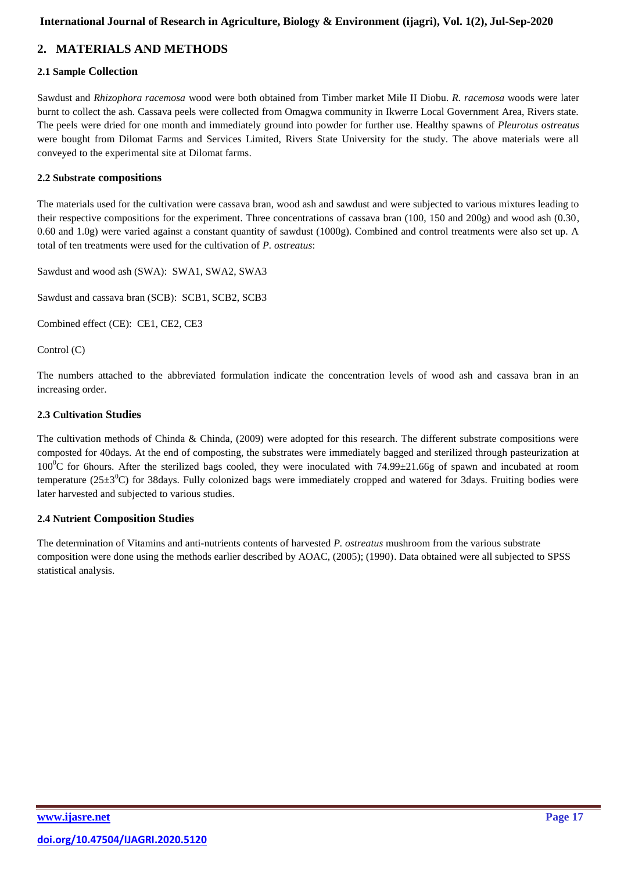# **International Journal of Research in Agriculture, Biology & Environment [\(ijagri\),](http://www.ijasre.net/) Vol. 1(2), Jul-Sep-2020**

# **2. MATERIALS AND METHODS**

# **2.1 Sample Collection**

Sawdust and *Rhizophora racemosa* wood were both obtained from Timber market Mile II Diobu. *R. racemosa* woods were later burnt to collect the ash. Cassava peels were collected from Omagwa community in Ikwerre Local Government Area, Rivers state. The peels were dried for one month and immediately ground into powder for further use. Healthy spawns of *Pleurotus ostreatus* were bought from Dilomat Farms and Services Limited, Rivers State University for the study. The above materials were all conveyed to the experimental site at Dilomat farms.

### **2.2 Substrate compositions**

The materials used for the cultivation were cassava bran, wood ash and sawdust and were subjected to various mixtures leading to their respective compositions for the experiment. Three concentrations of cassava bran (100, 150 and 200g) and wood ash (0.30, 0.60 and 1.0g) were varied against a constant quantity of sawdust (1000g). Combined and control treatments were also set up. A total of ten treatments were used for the cultivation of *P. ostreatus*:

Sawdust and wood ash (SWA): SWA1, SWA2, SWA3

Sawdust and cassava bran (SCB): SCB1, SCB2, SCB3

Combined effect (CE): CE1, CE2, CE3

Control (C)

The numbers attached to the abbreviated formulation indicate the concentration levels of wood ash and cassava bran in an increasing order.

### **2.3 Cultivation Studies**

The cultivation methods of Chinda & Chinda,  $(2009)$  were adopted for this research. The different substrate compositions were composted for 40days. At the end of composting, the substrates were immediately bagged and sterilized through pasteurization at  $100^{\circ}$ C for 6hours. After the sterilized bags cooled, they were inoculated with 74.99 $\pm$ 21.66g of spawn and incubated at room temperature ( $25\pm3^{\circ}$ C) for 38days. Fully colonized bags were immediately cropped and watered for 3days. Fruiting bodies were later harvested and subjected to various studies.

### **2.4 Nutrient Composition Studies**

The determination of Vitamins and anti-nutrients contents of harvested *P. ostreatus* mushroom from the various substrate composition were done using the methods earlier described by AOAC, (2005); (1990). Data obtained were all subjected to SPSS statistical analysis.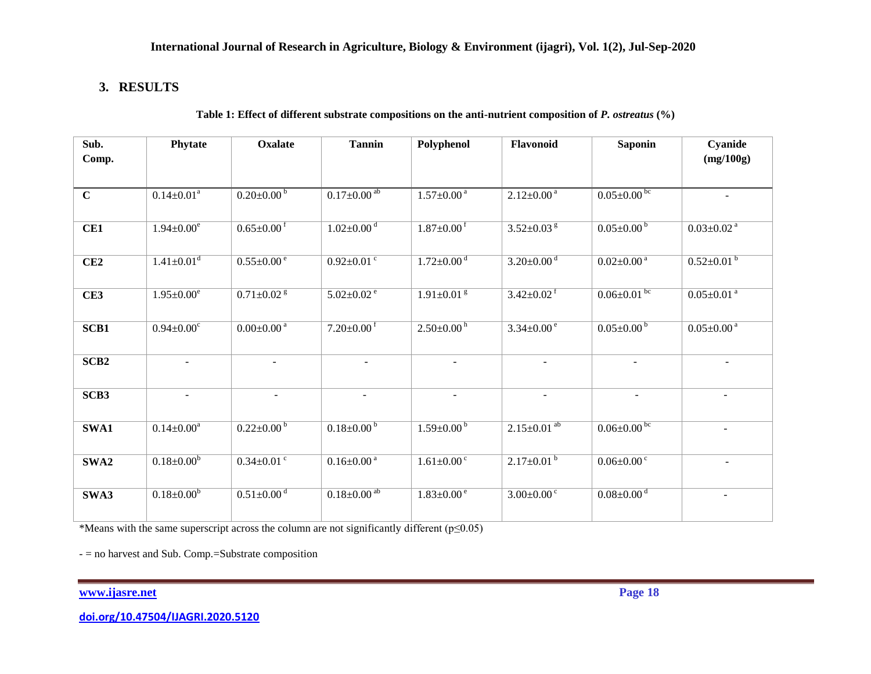# **3. RESULTS**

### **Table 1: Effect of different substrate compositions on the anti-nutrient composition of** *P. ostreatus* **(%)**

| Sub.             | Phytate                      | <b>Oxalate</b>               | <b>Tannin</b>                 | Polyphenol                   | Flavonoid                     | <b>Saponin</b>               | Cyanide                      |
|------------------|------------------------------|------------------------------|-------------------------------|------------------------------|-------------------------------|------------------------------|------------------------------|
| Comp.            |                              |                              |                               |                              |                               |                              | (mg/100g)                    |
| $\mathbf C$      | $0.14 \pm 0.01^a$            | $0.20 \pm 0.00 \frac{b}{ }$  | $0.17 \pm 0.00^{ab}$          | $1.57 \pm 0.00$ <sup>a</sup> | $2.12 \pm 0.00^{\text{ a}}$   | $0.05 \pm 0.00^{\rm bc}$     |                              |
|                  |                              |                              |                               |                              |                               |                              |                              |
| CE1              | $1.94 \pm 0.00^e$            | $0.65 \pm 0.00$ <sup>f</sup> | $1.02 \pm 0.00$ <sup>d</sup>  | $1.87 \pm 0.00$ <sup>f</sup> | $3.52 \pm 0.03$ <sup>g</sup>  | $0.05 \pm 0.00^{b}$          | $0.03 \pm 0.02$ <sup>a</sup> |
| CE2              | $1.41 \pm 0.01$ <sup>d</sup> | $0.55 \pm 0.00$ <sup>e</sup> | $0.92 \pm 0.01$ <sup>c</sup>  | $1.72 \pm 0.00$ <sup>d</sup> | $3.20 \pm 0.00$ <sup>d</sup>  | $0.02 \pm 0.00$ <sup>a</sup> | $0.52 \pm 0.01^{b}$          |
|                  |                              |                              |                               |                              |                               |                              |                              |
| CE3              | $1.95 \pm 0.00^e$            | $0.71 \pm 0.02$ <sup>g</sup> | $5.02 \pm 0.02$ <sup>e</sup>  | $1.91 \pm 0.01$ <sup>g</sup> | $3.42 \pm 0.02$ <sup>f</sup>  | $0.06 \pm 0.01$ bc           | $0.05 \pm 0.01$ <sup>a</sup> |
|                  | $0.94 \pm 0.00$ <sup>c</sup> | $0.00 \pm 0.00$ <sup>a</sup> | $7.20 \pm 0.00$ <sup>f</sup>  | $2.50 \pm 0.00^{\mathrm{h}}$ | $3.34 \pm 0.00^{\circ}$       | $0.05 \pm 0.00^{\mathrm{b}}$ | $0.05 \pm 0.00^{\text{ a}}$  |
| SCB1             |                              |                              |                               |                              |                               |                              |                              |
| SCB <sub>2</sub> |                              |                              |                               |                              |                               |                              |                              |
|                  |                              |                              |                               |                              |                               |                              |                              |
| SCB3             | $\blacksquare$               | $\blacksquare$               | $\blacksquare$                | $\sim$                       | $\sim$                        | $\blacksquare$               | $\sim$                       |
| SWA1             | $0.14 \pm 0.00^a$            | $0.22 \pm 0.00 \frac{b}{ }$  | $0.18 \pm 0.00^{b}$           | $1.59 \pm 0.00^{\circ}$      | $2.15 \pm 0.01$ <sup>ab</sup> | $0.06 \pm 0.00^{bc}$         |                              |
|                  |                              |                              |                               |                              |                               |                              |                              |
| SWA2             | $0.18 \pm 0.00^b$            | $0.34 \pm 0.01$ <sup>c</sup> | $0.16 \pm 0.00^{\text{a}}$    | $1.61 \pm 0.00$ <sup>c</sup> | $2.17 \pm 0.01^{b}$           | $0.06 \pm 0.00$ <sup>c</sup> |                              |
| SWA3             | $0.18 \pm 0.00^b$            | $0.51 \pm 0.00$ <sup>d</sup> | $0.18 \pm 0.00$ <sup>ab</sup> | $1.83 \pm 0.00$ <sup>e</sup> | $3.00 \pm 0.00$ <sup>c</sup>  | $0.08 \pm 0.00$ <sup>d</sup> |                              |
|                  |                              |                              |                               |                              |                               |                              |                              |

\*Means with the same superscript across the column are not significantly different (p≤0.05)

- = no harvest and Sub. Comp.=Substrate composition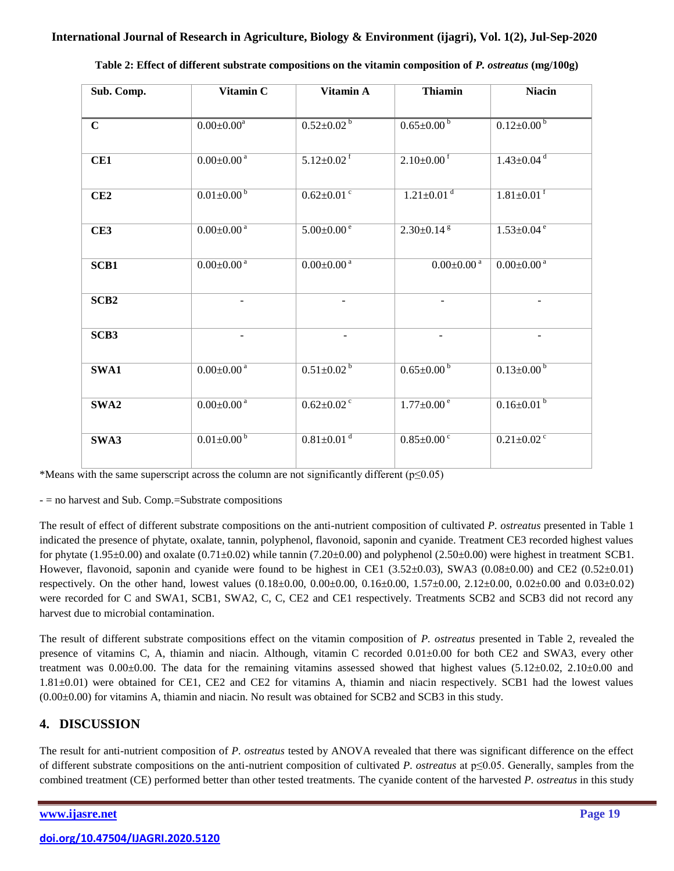| Sub. Comp.       | Vitamin C                    | Vitamin A                    | <b>Thiamin</b>               | <b>Niacin</b>                |
|------------------|------------------------------|------------------------------|------------------------------|------------------------------|
|                  |                              |                              |                              |                              |
| $\mathbf C$      | $0.00 \pm 0.00^a$            | $0.52 \pm 0.02^{\mathrm{b}}$ | $0.65 \pm 0.00^{\circ}$      | $0.12 \pm 0.00^{\circ}$      |
|                  |                              |                              |                              |                              |
| CE1              | $0.00 \pm 0.00$ <sup>a</sup> | $5.12 \pm 0.02$ <sup>f</sup> | $2.10 \pm 0.00$ <sup>f</sup> | $1.43 \pm 0.04$ <sup>d</sup> |
|                  |                              |                              |                              |                              |
| CE2              | $0.01 \pm 0.00^{\circ}$      | $0.62 \pm 0.01$ °            | $1.21 \pm 0.01$ <sup>d</sup> | $1.81 \pm 0.01$ <sup>f</sup> |
|                  |                              |                              |                              |                              |
| CE3              | $0.00 \pm 0.00^{\text{ a}}$  | $5.00 \pm 0.00^{\circ}$      | $2.30 \pm 0.14$ <sup>g</sup> | $1.53 \pm 0.04$ <sup>e</sup> |
|                  |                              |                              |                              |                              |
| SCB1             | $0.00 \pm 0.00$ <sup>a</sup> | $0.00 \pm 0.00$ <sup>a</sup> | $0.00 \pm 0.00$ <sup>a</sup> | $0.00 \pm 0.00$ <sup>a</sup> |
|                  |                              |                              |                              |                              |
| SCB <sub>2</sub> |                              |                              |                              |                              |
|                  |                              |                              |                              |                              |
| SCB3             |                              |                              |                              |                              |
|                  |                              |                              |                              |                              |
| SWA1             | $0.00 \pm 0.00$ <sup>a</sup> | $0.51 \pm 0.02^{b}$          | $0.65 \pm 0.00^{b}$          | $0.13 \pm 0.00^{b}$          |
|                  |                              |                              |                              |                              |
| SWA2             | $0.00 \pm 0.00$ <sup>a</sup> | $0.62 \pm 0.02$ <sup>c</sup> | $1.77 \pm 0.00$ <sup>e</sup> | $0.16 \pm 0.01^{b}$          |
|                  |                              |                              |                              |                              |
| SWA3             | $0.01 \pm 0.00^{\circ}$      | $0.81 \pm 0.01$ <sup>d</sup> | $0.85 \pm 0.00$ <sup>c</sup> | $0.21 \pm 0.02$ <sup>c</sup> |
|                  |                              |                              |                              |                              |

| Table 2: Effect of different substrate compositions on the vitamin composition of P. ostreatus (mg/100g) |  |  |  |
|----------------------------------------------------------------------------------------------------------|--|--|--|
|----------------------------------------------------------------------------------------------------------|--|--|--|

\*Means with the same superscript across the column are not significantly different ( $p \le 0.05$ )

- = no harvest and Sub. Comp.=Substrate compositions

The result of effect of different substrate compositions on the anti-nutrient composition of cultivated *P. ostreatus* presented in Table 1 indicated the presence of phytate, oxalate, tannin, polyphenol, flavonoid, saponin and cyanide. Treatment CE3 recorded highest values for phytate  $(1.95\pm0.00)$  and oxalate  $(0.71\pm0.02)$  while tannin  $(7.20\pm0.00)$  and polyphenol  $(2.50\pm0.00)$  were highest in treatment SCB1. However, flavonoid, saponin and cyanide were found to be highest in CE1 (3.52 $\pm$ 0.03), SWA3 (0.08 $\pm$ 0.00) and CE2 (0.52 $\pm$ 0.01) respectively. On the other hand, lowest values (0.18±0.00, 0.00±0.00, 0.16±0.00, 1.57±0.00, 2.12±0.00, 0.02±0.00 and 0.03±0.02) were recorded for C and SWA1, SCB1, SWA2, C, C, CE2 and CE1 respectively. Treatments SCB2 and SCB3 did not record any harvest due to microbial contamination.

The result of different substrate compositions effect on the vitamin composition of *P. ostreatus* presented in Table 2, revealed the presence of vitamins C, A, thiamin and niacin. Although, vitamin C recorded 0.01±0.00 for both CE2 and SWA3, every other treatment was  $0.00\pm0.00$ . The data for the remaining vitamins assessed showed that highest values  $(5.12\pm0.02, 2.10\pm0.00, 0.00)$ 1.81±0.01) were obtained for CE1, CE2 and CE2 for vitamins A, thiamin and niacin respectively. SCB1 had the lowest values  $(0.00\pm0.00)$  for vitamins A, thiamin and niacin. No result was obtained for SCB2 and SCB3 in this study.

# **4. DISCUSSION**

The result for anti-nutrient composition of *P. ostreatus* tested by ANOVA revealed that there was significant difference on the effect of different substrate compositions on the anti-nutrient composition of cultivated *P. ostreatus* at p≤0.05. Generally, samples from the combined treatment (CE) performed better than other tested treatments. The cyanide content of the harvested *P. ostreatus* in this study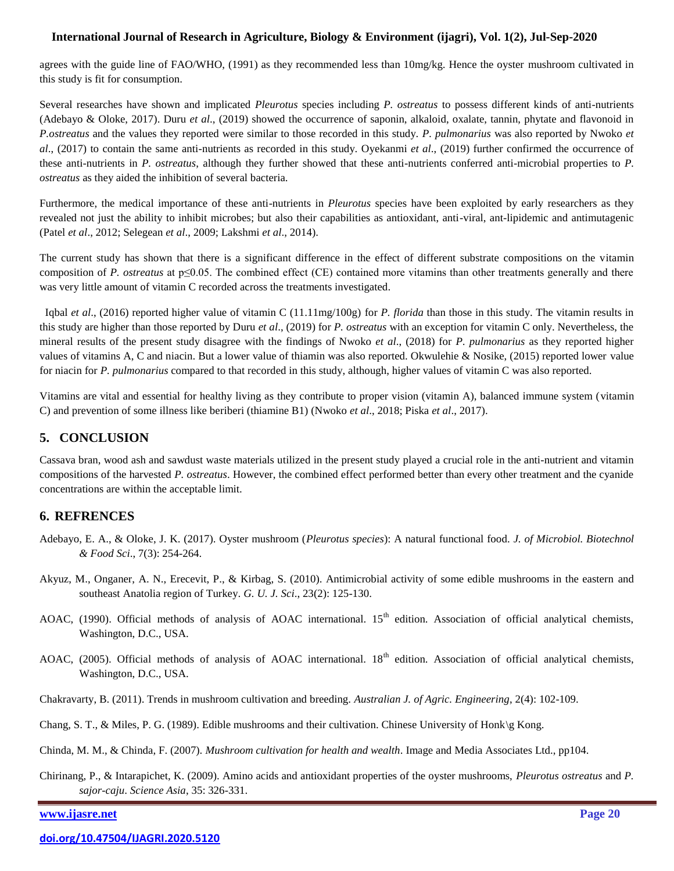### **International Journal of Research in Agriculture, Biology & Environment [\(ijagri\),](http://www.ijasre.net/) Vol. 1(2), Jul-Sep-2020**

agrees with the guide line of FAO/WHO, (1991) as they recommended less than 10mg/kg. Hence the oyster mushroom cultivated in this study is fit for consumption.

Several researches have shown and implicated *Pleurotus* species including *P. ostreatus* to possess different kinds of anti-nutrients (Adebayo & Oloke, 2017). Duru *et al*., (2019) showed the occurrence of saponin, alkaloid, oxalate, tannin, phytate and flavonoid in *P.ostreatus* and the values they reported were similar to those recorded in this study. *P. pulmonarius* was also reported by Nwoko *et al*., (2017) to contain the same anti-nutrients as recorded in this study. Oyekanmi *et al*., (2019) further confirmed the occurrence of these anti-nutrients in *P. ostreatus*, although they further showed that these anti-nutrients conferred anti-microbial properties to *P. ostreatus* as they aided the inhibition of several bacteria.

Furthermore, the medical importance of these anti-nutrients in *Pleurotus* species have been exploited by early researchers as they revealed not just the ability to inhibit microbes; but also their capabilities as antioxidant, anti-viral, ant-lipidemic and antimutagenic (Patel *et al*., 2012; Selegean *et al*., 2009; Lakshmi *et al*., 2014).

The current study has shown that there is a significant difference in the effect of different substrate compositions on the vitamin composition of *P. ostreatus* at p≤0.05. The combined effect (CE) contained more vitamins than other treatments generally and there was very little amount of vitamin C recorded across the treatments investigated.

 Iqbal *et al*., (2016) reported higher value of vitamin C (11.11mg/100g) for *P. florida* than those in this study. The vitamin results in this study are higher than those reported by Duru *et al*., (2019) for *P. ostreatus* with an exception for vitamin C only. Nevertheless, the mineral results of the present study disagree with the findings of Nwoko *et al*., (2018) for *P. pulmonarius* as they reported higher values of vitamins A, C and niacin. But a lower value of thiamin was also reported. Okwulehie & Nosike, (2015) reported lower value for niacin for *P. pulmonarius* compared to that recorded in this study, although, higher values of vitamin C was also reported.

Vitamins are vital and essential for healthy living as they contribute to proper vision (vitamin A), balanced immune system (vitamin C) and prevention of some illness like beriberi (thiamine B1) (Nwoko *et al*., 2018; Piska *et al*., 2017).

# **5. CONCLUSION**

Cassava bran, wood ash and sawdust waste materials utilized in the present study played a crucial role in the anti-nutrient and vitamin compositions of the harvested *P. ostreatus*. However, the combined effect performed better than every other treatment and the cyanide concentrations are within the acceptable limit.

# **6. REFRENCES**

- Adebayo, E. A., & Oloke, J. K. (2017). Oyster mushroom (*Pleurotus species*): A natural functional food. *J. of Microbiol. Biotechnol & Food Sci*., 7(3): 254-264.
- Akyuz, M., Onganer, A. N., Erecevit, P., & Kirbag, S. (2010). Antimicrobial activity of some edible mushrooms in the eastern and southeast Anatolia region of Turkey. *G. U. J. Sci*., 23(2): 125-130.
- AOAC, (1990). Official methods of analysis of AOAC international. 15<sup>th</sup> edition. Association of official analytical chemists, Washington, D.C., USA.
- AOAC, (2005). Official methods of analysis of AOAC international. 18<sup>th</sup> edition. Association of official analytical chemists, Washington, D.C., USA.
- Chakravarty, B. (2011). Trends in mushroom cultivation and breeding. *Australian J. of Agric. Engineering*, 2(4): 102-109.
- Chang, S. T., & Miles, P. G. (1989). Edible mushrooms and their cultivation. Chinese University of Honk\g Kong.
- Chinda, M. M., & Chinda, F. (2007). *Mushroom cultivation for health and wealth*. Image and Media Associates Ltd., pp104.
- Chirinang, P., & Intarapichet, K. (2009). Amino acids and antioxidant properties of the oyster mushrooms, *Pleurotus ostreatus* and *P. sajor-caju*. *Science Asia*, 35: 326-331.